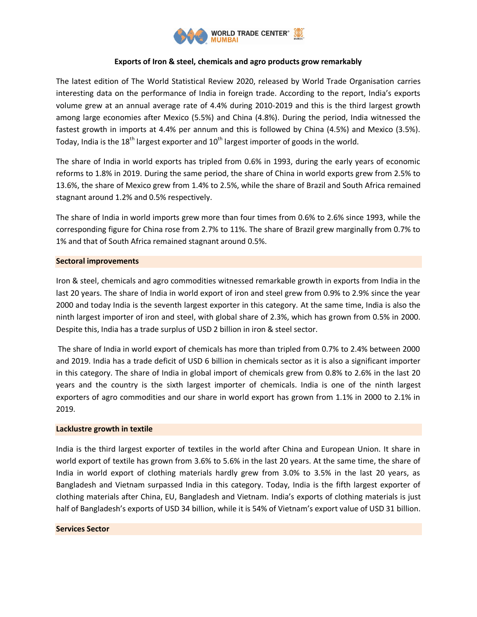

# **Exports of Iron & steel, chemicals and agro products grow remarkably**

The latest edition of The World Statistical Review 2020, released by World Trade Organisation carries interesting data on the performance of India in foreign trade. According to the report, India's exports volume grew at an annual average rate of 4.4% during 2010-2019 and this is the third largest growth among large economies after Mexico (5.5%) and China (4.8%). During the period, India witnessed the fastest growth in imports at 4.4% per annum and this is followed by China (4.5%) and Mexico (3.5%). Today, India is the  $18<sup>th</sup>$  largest exporter and  $10<sup>th</sup>$  largest importer of goods in the world.

The share of India in world exports has tripled from 0.6% in 1993, during the early years of economic reforms to 1.8% in 2019. During the same period, the share of China in world exports grew from 2.5% to 13.6%, the share of Mexico grew from 1.4% to 2.5%, while the share of Brazil and South Africa remained stagnant around 1.2% and 0.5% respectively.

The share of India in world imports grew more than four times from 0.6% to 2.6% since 1993, while the corresponding figure for China rose from 2.7% to 11%. The share of Brazil grew marginally from 0.7% to 1% and that of South Africa remained stagnant around 0.5%.

# **Sectoral improvements**

Iron & steel, chemicals and agro commodities witnessed remarkable growth in exports from India in the last 20 years. The share of India in world export of iron and steel grew from 0.9% to 2.9% since the year 2000 and today India is the seventh largest exporter in this category. At the same time, India is also the ninth largest importer of iron and steel, with global share of 2.3%, which has grown from 0.5% in 2000. Despite this, India has a trade surplus of USD 2 billion in iron & steel sector.

The share of India in world export of chemicals has more than tripled from 0.7% to 2.4% between 2000 and 2019. India has a trade deficit of USD 6 billion in chemicals sector as it is also a significant importer in this category. The share of India in global import of chemicals grew from 0.8% to 2.6% in the last 20 years and the country is the sixth largest importer of chemicals. India is one of the ninth largest exporters of agro commodities and our share in world export has grown from 1.1% in 2000 to 2.1% in 2019.

#### **Lacklustre growth in textile**

India is the third largest exporter of textiles in the world after China and European Union. It share in world export of textile has grown from 3.6% to 5.6% in the last 20 years. At the same time, the share of India in world export of clothing materials hardly grew from 3.0% to 3.5% in the last 20 years, as Bangladesh and Vietnam surpassed India in this category. Today, India is the fifth largest exporter of clothing materials after China, EU, Bangladesh and Vietnam. India's exports of clothing materials is just half of Bangladesh's exports of USD 34 billion, while it is 54% of Vietnam's export value of USD 31 billion.

#### **Services Sector**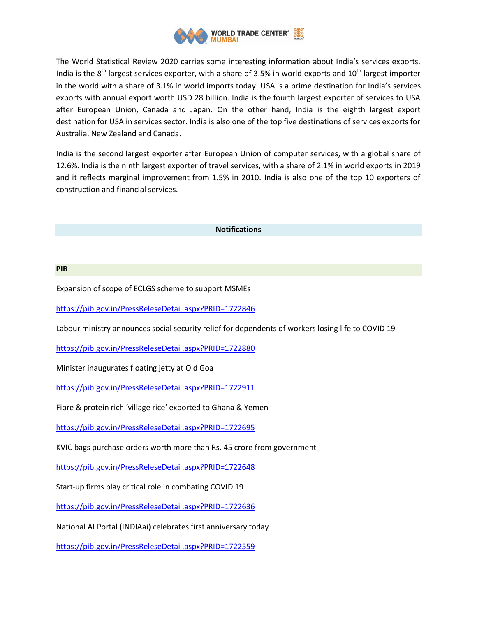

The World Statistical Review 2020 carries some interesting information about India's services exports. India is the  $8<sup>th</sup>$  largest services exporter, with a share of 3.5% in world exports and 10<sup>th</sup> largest importer in the world with a share of 3.1% in world imports today. USA is a prime destination for India's services exports with annual export worth USD 28 billion. India is the fourth largest exporter of services to USA after European Union, Canada and Japan. On the other hand, India is the eighth largest export destination for USA in services sector. India is also one of the top five destinations of services exports for Australia, New Zealand and Canada.

India is the second largest exporter after European Union of computer services, with a global share of 12.6%. India is the ninth largest exporter of travel services, with a share of 2.1% in world exports in 2019 and it reflects marginal improvement from 1.5% in 2010. India is also one of the top 10 exporters of construction and financial services.

## **Notifications**

#### **PIB**

Expansion of scope of ECLGS scheme to support MSMEs

<https://pib.gov.in/PressReleseDetail.aspx?PRID=1722846>

Labour ministry announces social security relief for dependents of workers losing life to COVID 19

<https://pib.gov.in/PressReleseDetail.aspx?PRID=1722880>

Minister inaugurates floating jetty at Old Goa

<https://pib.gov.in/PressReleseDetail.aspx?PRID=1722911>

Fibre & protein rich 'village rice' exported to Ghana & Yemen

<https://pib.gov.in/PressReleseDetail.aspx?PRID=1722695>

KVIC bags purchase orders worth more than Rs. 45 crore from government

<https://pib.gov.in/PressReleseDetail.aspx?PRID=1722648>

Start-up firms play critical role in combating COVID 19

<https://pib.gov.in/PressReleseDetail.aspx?PRID=1722636>

National AI Portal (INDIAai) celebrates first anniversary today

<https://pib.gov.in/PressReleseDetail.aspx?PRID=1722559>